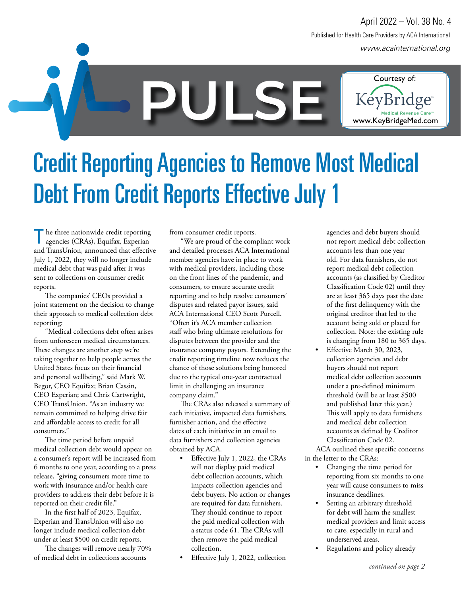*www.acainternational.org* Published for Health Care Providers by ACA International April 2022 – Vol. 38 No. 4

www.KeyBridgeMed.com

**PULSEE COURTESY OF:**<br> **PULSE PULSE PULSE PULSE PULSE PULSE PULSE PULSE PULSE PULSE PULSE PULSE PULSE PULSE PULSE PULSE PULSE PULSE PULSE PULSE PULSE PULSE PULSE PULSE PULSE** 

Credit Reporting Agencies to Remove Most Medical Debt From Credit Reports Effective July 1

he three nationwide credit reporting agencies (CRAs), Equifax, Experian and TransUnion, announced that effective July 1, 2022, they will no longer include medical debt that was paid after it was sent to collections on consumer credit reports.

The companies' CEOs provided a joint statement on the decision to change their approach to medical collection debt reporting:

"Medical collections debt often arises from unforeseen medical circumstances. These changes are another step we're taking together to help people across the United States focus on their financial and personal wellbeing," said Mark W. Begor, CEO Equifax; Brian Cassin, CEO Experian; and Chris Cartwright, CEO TransUnion. "As an industry we remain committed to helping drive fair and affordable access to credit for all consumers."

The time period before unpaid medical collection debt would appear on a consumer's report will be increased from 6 months to one year, according to a press release, "giving consumers more time to work with insurance and/or health care providers to address their debt before it is reported on their credit file."

In the first half of 2023, Equifax, Experian and TransUnion will also no longer include medical collection debt under at least \$500 on credit reports.

The changes will remove nearly 70% of medical debt in collections accounts

from consumer credit reports.

"We are proud of the compliant work and detailed processes ACA International member agencies have in place to work with medical providers, including those on the front lines of the pandemic, and consumers, to ensure accurate credit reporting and to help resolve consumers' disputes and related payor issues, said ACA International CEO Scott Purcell. "Often it's ACA member collection staff who bring ultimate resolutions for disputes between the provider and the insurance company payors. Extending the credit reporting timeline now reduces the chance of those solutions being honored due to the typical one-year contractual limit in challenging an insurance company claim."

The CRAs also released a summary of each initiative, impacted data furnishers, furnisher action, and the effective dates of each initiative in an email to data furnishers and collection agencies obtained by ACA.

- Effective July 1, 2022, the CRAs will not display paid medical debt collection accounts, which impacts collection agencies and debt buyers. No action or changes are required for data furnishers. They should continue to report the paid medical collection with a status code 61. The CRAs will then remove the paid medical collection.
- Effective July 1, 2022, collection

agencies and debt buyers should not report medical debt collection accounts less than one year old. For data furnishers, do not report medical debt collection accounts (as classified by Creditor Classification Code 02) until they are at least 365 days past the date of the first delinquency with the original creditor that led to the account being sold or placed for collection. Note: the existing rule is changing from 180 to 365 days.

• Effective March 30, 2023, collection agencies and debt buyers should not report medical debt collection accounts under a pre-defined minimum threshold (will be at least \$500 and published later this year.) This will apply to data furnishers and medical debt collection accounts as defined by Creditor Classification Code 02.

ACA outlined these specific concerns in the letter to the CRAs:

- Changing the time period for reporting from six months to one year will cause consumers to miss insurance deadlines.
- Setting an arbitrary threshold for debt will harm the smallest medical providers and limit access to care, especially in rural and underserved areas.
- Regulations and policy already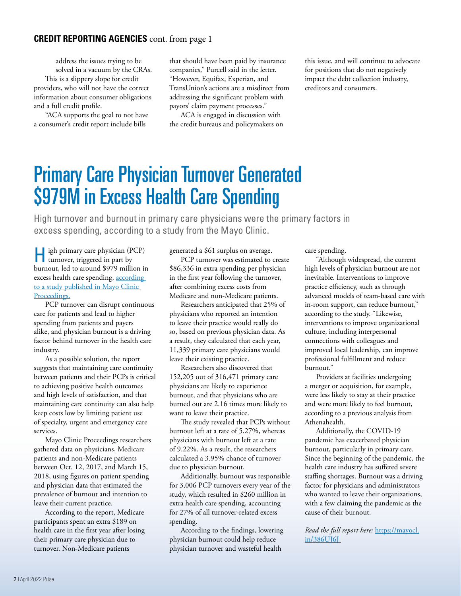#### **CREDIT REPORTING AGENCIES** cont. from page 1

address the issues trying to be solved in a vacuum by the CRAs.

This is a slippery slope for credit providers, who will not have the correct information about consumer obligations and a full credit profile.

"ACA supports the goal to not have a consumer's credit report include bills

that should have been paid by insurance companies," Purcell said in the letter. "However, Equifax, Experian, and TransUnion's actions are a misdirect from addressing the significant problem with payors' claim payment processes."

ACA is engaged in discussion with the credit bureaus and policymakers on

this issue, and will continue to advocate for positions that do not negatively impact the debt collection industry, creditors and consumers.

### Primary Care Physician Turnover Generated \$979M in Excess Health Care Spending

High turnover and burnout in primary care physicians were the primary factors in excess spending, according to a study from the Mayo Clinic.

High primary care physician (PCP) turnover, triggered in part by burnout, led to around \$979 million in excess health care spending, according to a study published in Mayo Clinic Proceedings.

PCP turnover can disrupt continuous care for patients and lead to higher spending from patients and payers alike, and physician burnout is a driving factor behind turnover in the health care industry.

As a possible solution, the report suggests that maintaining care continuity between patients and their PCPs is critical to achieving positive health outcomes and high levels of satisfaction, and that maintaining care continuity can also help keep costs low by limiting patient use of specialty, urgent and emergency care services.

Mayo Clinic Proceedings researchers gathered data on physicians, Medicare patients and non-Medicare patients between Oct. 12, 2017, and March 15, 2018, using figures on patient spending and physician data that estimated the prevalence of burnout and intention to leave their current practice.

According to the report, Medicare participants spent an extra \$189 on health care in the first year after losing their primary care physician due to turnover. Non-Medicare patients

generated a \$61 surplus on average.

PCP turnover was estimated to create \$86,336 in extra spending per physician in the first year following the turnover, after combining excess costs from Medicare and non-Medicare patients.

Researchers anticipated that 25% of physicians who reported an intention to leave their practice would really do so, based on previous physician data. As a result, they calculated that each year, 11,339 primary care physicians would leave their existing practice.

Researchers also discovered that 152,205 out of 316,471 primary care physicians are likely to experience burnout, and that physicians who are burned out are 2.16 times more likely to want to leave their practice.

The study revealed that PCPs without burnout left at a rate of 5.27%, whereas physicians with burnout left at a rate of 9.22%. As a result, the researchers calculated a 3.95% chance of turnover due to physician burnout.

Additionally, burnout was responsible for 3,006 PCP turnovers every year of the study, which resulted in \$260 million in extra health care spending, accounting for 27% of all turnover-related excess spending.

According to the findings, lowering physician burnout could help reduce physician turnover and wasteful health

care spending.

"Although widespread, the current high levels of physician burnout are not inevitable. Interventions to improve practice efficiency, such as through advanced models of team-based care with in-room support, can reduce burnout," according to the study. "Likewise, interventions to improve organizational culture, including interpersonal connections with colleagues and improved local leadership, can improve professional fulfillment and reduce burnout."

Providers at facilities undergoing a merger or acquisition, for example, were less likely to stay at their practice and were more likely to feel burnout, according to a previous analysis from Athenahealth.

Additionally, the COVID-19 pandemic has exacerbated physician burnout, particularly in primary care. Since the beginning of the pandemic, the health care industry has suffered severe staffing shortages. Burnout was a driving factor for physicians and administrators who wanted to leave their organizations, with a few claiming the pandemic as the cause of their burnout.

*Read the full report here:* https://mayocl. in/386UJ6J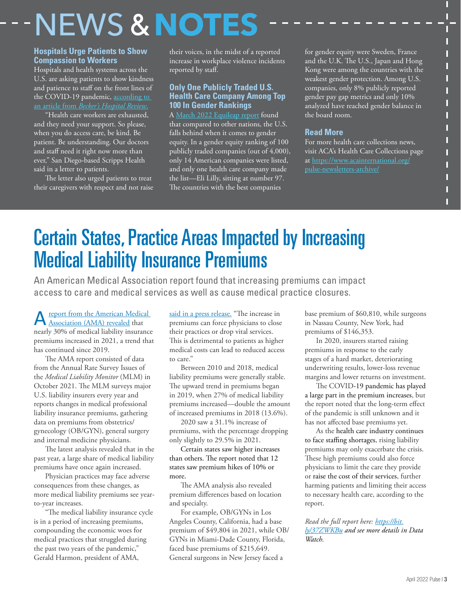# NEWS **&NOTES**

#### **Hospitals Urge Patients to Show Compassion to Workers**

Hospitals and health systems across the U.S. are asking patients to show kindness and patience to staff on the front lines of the COVID-19 pandemic, according to an article from *Becker's Hospital Review*.

"Health care workers are exhausted, and they need your support. So please, when you do access care, be kind. Be patient. Be understanding. Our doctors and staff need it right now more than ever," San Diego-based Scripps Health said in a letter to patients.

The letter also urged patients to treat their caregivers with respect and not raise their voices, in the midst of a reported increase in workplace violence incidents reported by staff.

#### **Only One Publicly Traded U.S. Health Care Company Among Top 100 In Gender Rankings**

A March 2022 Equileap report found that compared to other nations, the U.S. falls behind when it comes to gender equity. In a gender equity ranking of 100 publicly traded companies (out of 4,000), only 14 American companies were listed, and only one health care company made the list—Eli Lilly, sitting at number 97. The countries with the best companies

for gender equity were Sweden, France and the U.K. The U.S., Japan and Hong Kong were among the countries with the weakest gender protection. Among U.S. companies, only 8% publicly reported gender pay gap metrics and only 10% analyzed have reached gender balance in the board room.

П П П П П П

#### **Read More**

For more health care collections news, visit ACA's Health Care Collections page at https://www.acainternational.org/ pulse-newsletters-archive/

## Certain States, Practice Areas Impacted by Increasing Medical Liability Insurance Premiums

An American Medical Association report found that increasing premiums can impact access to care and medical services as well as cause medical practice closures.

A report from the American Medical<br>Association (AMA) revealed that nearly 30% of medical liability insurance premiums increased in 2021, a trend that has continued since 2019.

The AMA report consisted of data from the Annual Rate Survey Issues of the *Medical Liability Monitor* (MLM) in October 2021. The MLM surveys major U.S. liability insurers every year and reports changes in medical professional liability insurance premiums, gathering data on premiums from obstetrics/ gynecology (OB/GYN), general surgery and internal medicine physicians.

The latest analysis revealed that in the past year, a large share of medical liability premiums have once again increased.

Physician practices may face adverse consequences from these changes, as more medical liability premiums see yearto-year increases.

"The medical liability insurance cycle is in a period of increasing premiums, compounding the economic woes for medical practices that struggled during the past two years of the pandemic," Gerald Harmon, president of AMA,

said in a press release. "The increase in premiums can force physicians to close their practices or drop vital services. This is detrimental to patients as higher medical costs can lead to reduced access to care."

Between 2010 and 2018, medical liability premiums were generally stable. The upward trend in premiums began in 2019, when 27% of medical liability premiums increased—double the amount of increased premiums in 2018 (13.6%).

2020 saw a 31.1% increase of premiums, with the percentage dropping only slightly to 29.5% in 2021.

Certain states saw higher increases than others. The report noted that 12 states saw premium hikes of 10% or more.

The AMA analysis also revealed premium differences based on location and specialty.

For example, OB/GYNs in Los Angeles County, California, had a base premium of \$49,804 in 2021, while OB/ GYNs in Miami-Dade County, Florida, faced base premiums of \$215,649. General surgeons in New Jersey faced a

base premium of \$60,810, while surgeons in Nassau County, New York, had premiums of \$146,353.

In 2020, insurers started raising premiums in response to the early stages of a hard market, deteriorating underwriting results, lower-loss revenue margins and lower returns on investment.

The COVID-19 pandemic has played a large part in the premium increases, but the report noted that the long-term effect of the pandemic is still unknown and it has not affected base premiums yet.

As the health care industry continues to face staffing shortages, rising liability premiums may only exacerbate the crisis. These high premiums could also force physicians to limit the care they provide or raise the cost of their services, further harming patients and limiting their access to necessary health care, according to the report.

*Read the full report here: https://bit. ly/37ZWKBu and see more details in Data Watch.*